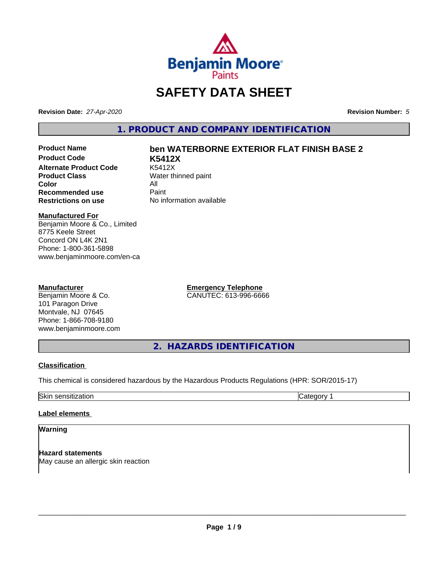

# **SAFETY DATA SHEET**

**Revision Date:** *27-Apr-2020* **Revision Number:** *5*

**1. PRODUCT AND COMPANY IDENTIFICATION**

**Product Code K5412X Alternate Product Code**<br>Product Class **Color** All<br> **Recommended use** Paint **Recommended use**<br>Restrictions on use

# **Product Name ben WATERBORNE EXTERIOR FLAT FINISH BASE 2**

**Water thinned paint No information available** 

### **Manufactured For**

Benjamin Moore & Co., Limited 8775 Keele Street Concord ON L4K 2N1 Phone: 1-800-361-5898 www.benjaminmoore.com/en-ca

### **Manufacturer**

Benjamin Moore & Co. 101 Paragon Drive Montvale, NJ 07645 Phone: 1-866-708-9180 www.benjaminmoore.com **Emergency Telephone** CANUTEC: 613-996-6666

**2. HAZARDS IDENTIFICATION**

### **Classification**

This chemical is considered hazardous by the Hazardous Products Regulations (HPR: SOR/2015-17)

Skin sensitization **Category 1 Category 1** 

### **Label elements**

### **Warning**

**Hazard statements** May cause an allergic skin reaction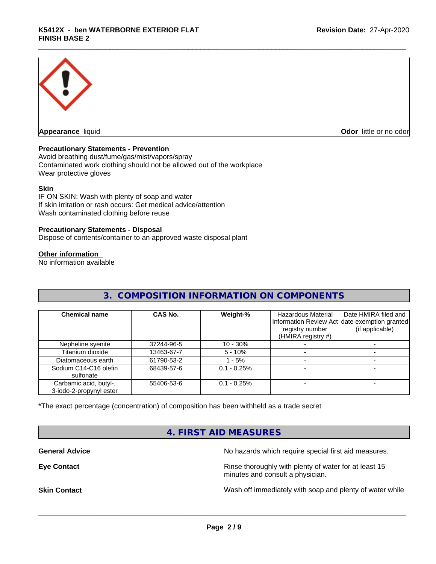

**Appearance** liquid **Odor in the original of the original of the original of the original of the original of the original of the original of the original of the original of the original of the original of the original of t** 

### **Precautionary Statements - Prevention**

Avoid breathing dust/fume/gas/mist/vapors/spray Contaminated work clothing should not be allowed out of the workplace Wear protective gloves

### **Skin**

IF ON SKIN: Wash with plenty of soap and water If skin irritation or rash occurs: Get medical advice/attention Wash contaminated clothing before reuse

### **Precautionary Statements - Disposal**

Dispose of contents/container to an approved waste disposal plant

### **Other information**

No information available

# **3. COMPOSITION INFORMATION ON COMPONENTS**

| <b>Chemical name</b>                              | CAS No.    | Weight-%      | Hazardous Material<br>registry number<br>(HMIRA registry #) | Date HMIRA filed and<br>Information Review Act date exemption granted<br>(if applicable) |
|---------------------------------------------------|------------|---------------|-------------------------------------------------------------|------------------------------------------------------------------------------------------|
| Nepheline syenite                                 | 37244-96-5 | $10 - 30\%$   |                                                             |                                                                                          |
| Titanium dioxide                                  | 13463-67-7 | $5 - 10%$     |                                                             |                                                                                          |
| Diatomaceous earth                                | 61790-53-2 | $-5%$         |                                                             |                                                                                          |
| Sodium C14-C16 olefin<br>sulfonate                | 68439-57-6 | $0.1 - 0.25%$ |                                                             |                                                                                          |
| Carbamic acid, butyl-,<br>3-iodo-2-propynyl ester | 55406-53-6 | $0.1 - 0.25%$ |                                                             |                                                                                          |

\*The exact percentage (concentration) of composition has been withheld as a trade secret

## **4. FIRST AID MEASURES**

**General Advice** No hazards which require special first aid measures.

**Eye Contact Exercise 2.1 All 2.5 All 2.5 All 2.6 All 2.6 All 2.6 All 2.6 All 2.6 All 2.6 All 2.6 All 2.6 All 2.6 All 2.6 All 2.6 All 2.6 All 2.6 All 2.6 All 2.6 All 2.6 All 2.6 All 2.6 All 2.6 All 2.6 All 2.6 All 2.6 Al** minutes and consult a physician.

**Skin Contact** Same of the Mash off immediately with soap and plenty of water while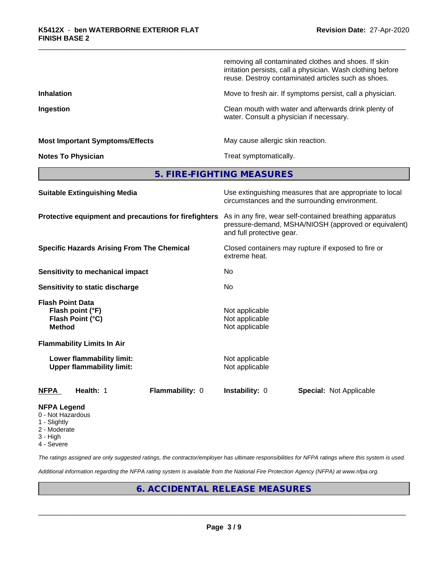|                                                                                  | removing all contaminated clothes and shoes. If skin<br>irritation persists, call a physician. Wash clothing before<br>reuse. Destroy contaminated articles such as shoes. |
|----------------------------------------------------------------------------------|----------------------------------------------------------------------------------------------------------------------------------------------------------------------------|
| <b>Inhalation</b>                                                                | Move to fresh air. If symptoms persist, call a physician.                                                                                                                  |
| Ingestion                                                                        | Clean mouth with water and afterwards drink plenty of<br>water. Consult a physician if necessary.                                                                          |
| <b>Most Important Symptoms/Effects</b>                                           | May cause allergic skin reaction.                                                                                                                                          |
| <b>Notes To Physician</b>                                                        | Treat symptomatically.                                                                                                                                                     |
|                                                                                  | 5. FIRE-FIGHTING MEASURES                                                                                                                                                  |
| <b>Suitable Extinguishing Media</b>                                              | Use extinguishing measures that are appropriate to local<br>circumstances and the surrounding environment.                                                                 |
| Protective equipment and precautions for firefighters                            | As in any fire, wear self-contained breathing apparatus<br>pressure-demand, MSHA/NIOSH (approved or equivalent)<br>and full protective gear.                               |
| <b>Specific Hazards Arising From The Chemical</b>                                | Closed containers may rupture if exposed to fire or<br>extreme heat.                                                                                                       |
| <b>Sensitivity to mechanical impact</b>                                          | No                                                                                                                                                                         |
| Sensitivity to static discharge                                                  | No                                                                                                                                                                         |
| <b>Flash Point Data</b><br>Flash point (°F)<br>Flash Point (°C)<br><b>Method</b> | Not applicable<br>Not applicable<br>Not applicable                                                                                                                         |
| <b>Flammability Limits In Air</b>                                                |                                                                                                                                                                            |
| Lower flammability limit:                                                        | Not applicable                                                                                                                                                             |

**Upper flammability limit:** Not applicable

**NFPA Health:** 1 **Flammability:** 0 **Instability:** 0 **Special:** Not Applicable

### **NFPA Legend**

- 0 Not Hazardous
- 1 Slightly
- 2 Moderate
- 3 High
- 4 Severe

*The ratings assigned are only suggested ratings, the contractor/employer has ultimate responsibilities for NFPA ratings where this system is used.*

*Additional information regarding the NFPA rating system is available from the National Fire Protection Agency (NFPA) at www.nfpa.org.*

# **6. ACCIDENTAL RELEASE MEASURES**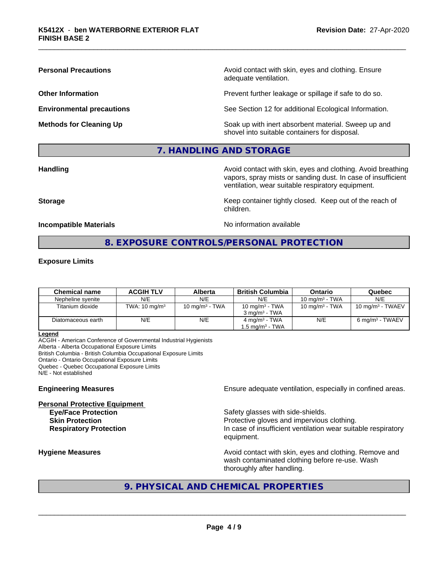**Personal Precautions Precautions** Avoid contact with skin, eyes and clothing. Ensure adequate ventilation.

**Other Information Other Information Prevent further leakage or spillage if safe to do so.** 

**Environmental precautions** See Section 12 for additional Ecological Information.

**Methods for Cleaning Up Example 20 All 20 All 20 All 20 Soak** up with inert absorbent material. Sweep up and shovel into suitable containers for disposal.

## **7. HANDLING AND STORAGE**

**Handling Handling Avoid contact with skin, eyes and clothing. Avoid breathing** vapors, spray mists or sanding dust. In case of insufficient ventilation, wear suitable respiratory equipment.

**Storage Keep container tightly closed. Keep out of the reach of Keep** container tightly closed. Keep out of the reach of

**Incompatible Materials** Noinformation available

# **8. EXPOSURE CONTROLS/PERSONAL PROTECTION**

children.

### **Exposure Limits**

| <b>Chemical name</b> | <b>ACGIH TLV</b>         | Alberta           | British Columbia            | Ontario           | Quebec                       |
|----------------------|--------------------------|-------------------|-----------------------------|-------------------|------------------------------|
| Nepheline svenite    | N/E                      | N/E               | N/E                         | 10 mg/m $3$ - TWA | N/E                          |
| Titanium dioxide     | TWA: $10 \text{ mg/m}^3$ | 10 mg/m $3$ - TWA | 10 mg/m $3$ - TWA           | 10 mg/m $3$ - TWA | 10 mg/m <sup>3</sup> - TWAEV |
|                      |                          |                   | $3 \text{ ma/m}^3$ - TWA    |                   |                              |
| Diatomaceous earth   | N/E                      | N/E               | $4 \text{ mg/m}^3$ - TWA    | N/E               | 6 mg/m <sup>3</sup> - TWAEV  |
|                      |                          |                   | 1.5 mg/m <sup>3</sup> - TWA |                   |                              |

**Legend**

ACGIH - American Conference of Governmental Industrial Hygienists Alberta - Alberta Occupational Exposure Limits British Columbia - British Columbia Occupational Exposure Limits Ontario - Ontario Occupational Exposure Limits Quebec - Quebec Occupational Exposure Limits N/E - Not established

**Personal Protective Equipment**

**Engineering Measures Ensure** Ensure adequate ventilation, especially in confined areas.

**Eve/Face Protection Safety glasses with side-shields. Skin Protection Protection Protective gloves and impervious clothing. Respiratory Protection In case of insufficient ventilation wear suitable respiratory** equipment.

**Hygiene Measures Avoid contact with skin, eyes and clothing. Remove and Avoid contact with skin, eyes and clothing. Remove and Avoid contact with skin, eyes and clothing. Remove and** wash contaminated clothing before re-use. Wash thoroughly after handling.

# **9. PHYSICAL AND CHEMICAL PROPERTIES**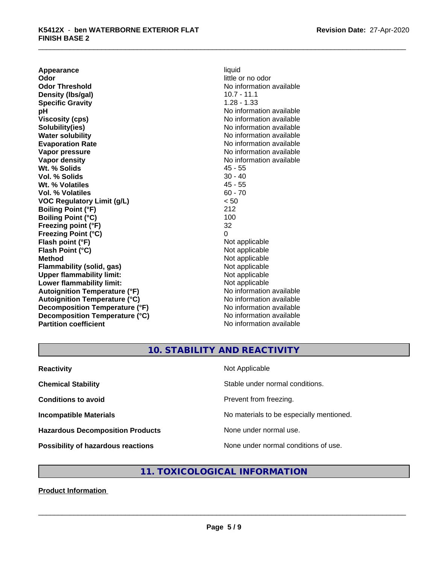**Appearance** liquid<br> **Odor** little c **Odor Threshold** No information available **Density (lbs/gal) Specific Gravity** 1.28 - 1.33 **pH** No information available **Viscosity (cps)** No information available Notice 1, 1999 **Solubility(ies)** No information available in the solution of the solution of the solution available in the solution of the solution of the solution of the solution of the solution of the solution of the solution of the so **Water solubility** No information available **Evaporation Rate No information available No information available Vapor pressure** No information available **Vapor density**<br> **We Solids**<br>
We Solid Wi, % Solids
2019 **Wt. % Solids** 45 - 55<br> **Vol. % Solids** 30 - 40 **Vol. % Solids Wt. % Volatiles** 45 - 55 **Vol. % Volatiles** 60 - 70 **VOC Regulatory Limit (g/L)** < 50 **Boiling Point (°F)** 212 **Boiling Point (°C) Freezing point (°F)** 32 **Freezing Point (°C)** 0 **Flash point (°F)** Not applicable **Flash Point (°C)** Not applicable **Method** Not applicable<br> **Flammability (solid, gas)** Not applicable Not applicable **Flammability (solid, gas)** Not applicable<br> **Upper flammability limit:** Not applicable<br>
Not applicable **Upper flammability limit:**<br> **Lower flammability limit:**<br>
Not applicable<br>
Not applicable **Lower flammability limit:**<br> **Autoignition Temperature (°F)** Not applicable Not applicable available **Autoignition Temperature (°F) Autoignition Temperature (°C)** No information available **Decomposition Temperature (°F)** No information available **Decomposition Temperature (°C)** No information available **Partition coefficient** No information available

little or no odor

# **10. STABILITY AND REACTIVITY**

| <b>Reactivity</b>                         | Not Applicable                           |
|-------------------------------------------|------------------------------------------|
| <b>Chemical Stability</b>                 | Stable under normal conditions.          |
| <b>Conditions to avoid</b>                | Prevent from freezing.                   |
| <b>Incompatible Materials</b>             | No materials to be especially mentioned. |
| <b>Hazardous Decomposition Products</b>   | None under normal use.                   |
| <b>Possibility of hazardous reactions</b> | None under normal conditions of use.     |

# **11. TOXICOLOGICAL INFORMATION**

### **Product Information**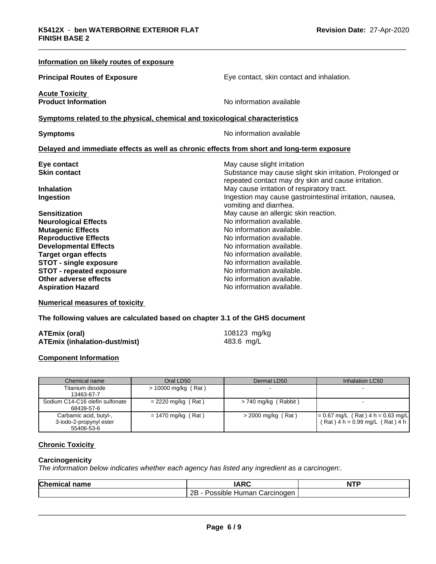| Information on likely routes of exposure                                                   |                                                          |  |
|--------------------------------------------------------------------------------------------|----------------------------------------------------------|--|
| <b>Principal Routes of Exposure</b>                                                        | Eye contact, skin contact and inhalation.                |  |
| <b>Acute Toxicity</b>                                                                      |                                                          |  |
| <b>Product Information</b>                                                                 | No information available                                 |  |
| Symptoms related to the physical, chemical and toxicological characteristics               |                                                          |  |
| <b>Symptoms</b>                                                                            | No information available                                 |  |
| Delayed and immediate effects as well as chronic effects from short and long-term exposure |                                                          |  |
| Eye contact                                                                                | May cause slight irritation                              |  |
| <b>Skin contact</b>                                                                        | Substance may cause slight skin irritation. Prolonged or |  |
|                                                                                            | repeated contact may dry skin and cause irritation.      |  |
| <b>Inhalation</b>                                                                          | May cause irritation of respiratory tract.               |  |
| Ingestion                                                                                  | Ingestion may cause gastrointestinal irritation, nausea, |  |
|                                                                                            | vomiting and diarrhea.                                   |  |
| <b>Sensitization</b>                                                                       | May cause an allergic skin reaction.                     |  |
| <b>Neurological Effects</b>                                                                | No information available.                                |  |
| <b>Mutagenic Effects</b>                                                                   | No information available.                                |  |
| <b>Reproductive Effects</b>                                                                | No information available.                                |  |
| <b>Developmental Effects</b>                                                               | No information available.                                |  |
| <b>Target organ effects</b>                                                                | No information available.                                |  |
| <b>STOT - single exposure</b>                                                              | No information available.                                |  |
| <b>STOT - repeated exposure</b>                                                            | No information available.                                |  |
| Other adverse effects                                                                      | No information available.                                |  |
| <b>Aspiration Hazard</b>                                                                   | No information available.                                |  |

**Numerical measures of toxicity**

**The following values are calculated based on chapter 3.1 of the GHS document**

| ATEmix (oral)                        | 108123 mg/kg |
|--------------------------------------|--------------|
| <b>ATEmix (inhalation-dust/mist)</b> | 483.6 mg/L   |

### **Component Information**

| Chemical name                                                   | Oral LD50            | Dermal LD50            | Inhalation LC50                                                            |
|-----------------------------------------------------------------|----------------------|------------------------|----------------------------------------------------------------------------|
| Titanium dioxide<br>13463-67-7                                  | > 10000 mg/kg (Rat)  |                        |                                                                            |
| Sodium C14-C16 olefin sulfonate<br>68439-57-6                   | $= 2220$ mg/kg (Rat) | $> 740$ mg/kg (Rabbit) |                                                                            |
| Carbamic acid, butyl-,<br>3-iodo-2-propynyl ester<br>55406-53-6 | $= 1470$ mg/kg (Rat) | $>$ 2000 mg/kg (Rat)   | $= 0.67$ mg/L (Rat) 4 h = 0.63 mg/L<br>$(Rat)$ 4 h = 0.99 mg/L $(Rat)$ 4 h |

### **Chronic Toxicity**

### **Carcinogenicity**

*The information below indicateswhether each agency has listed any ingredient as a carcinogen:.*

| Chemic<br>name<br>.а. | 100                                                          | <b>NTP</b> |
|-----------------------|--------------------------------------------------------------|------------|
|                       | <br>ם ה<br>Carcinoden<br>ossible <sup>,</sup><br>Human∶<br>. |            |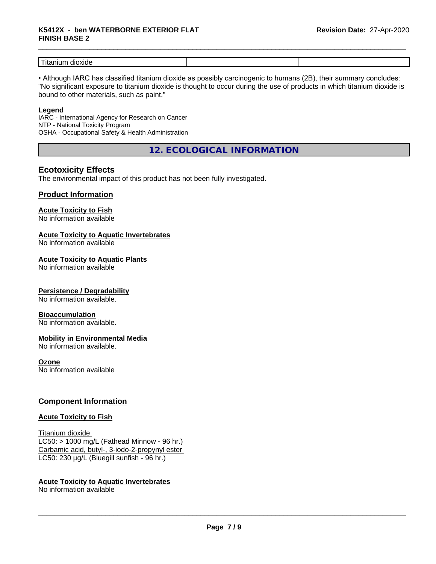# \_\_\_\_\_\_\_\_\_\_\_\_\_\_\_\_\_\_\_\_\_\_\_\_\_\_\_\_\_\_\_\_\_\_\_\_\_\_\_\_\_\_\_\_\_\_\_\_\_\_\_\_\_\_\_\_\_\_\_\_\_\_\_\_\_\_\_\_\_\_\_\_\_\_\_\_\_\_\_\_\_\_\_\_\_\_\_\_\_\_\_\_\_ **K5412X** - **ben WATERBORNE EXTERIOR FLAT FINISH BASE 2**

| $-$<br>$-1$<br>l itanlun<br>ou<br>1 X I ( 1 6 |  |
|-----------------------------------------------|--|

• Although IARC has classified titanium dioxide as possibly carcinogenic to humans (2B), their summary concludes: "No significant exposure to titanium dioxide is thought to occur during the use of products in which titanium dioxide is bound to other materials, such as paint."

### **Legend**

IARC - International Agency for Research on Cancer NTP - National Toxicity Program OSHA - Occupational Safety & Health Administration

**12. ECOLOGICAL INFORMATION**

## **Ecotoxicity Effects**

The environmental impact of this product has not been fully investigated.

### **Product Information**

# **Acute Toxicity to Fish**

No information available

### **Acute Toxicity to Aquatic Invertebrates**

No information available

### **Acute Toxicity to Aquatic Plants**

No information available

### **Persistence / Degradability**

No information available.

### **Bioaccumulation**

No information available.

### **Mobility in Environmental Media**

No information available.

### **Ozone**

No information available

### **Component Information**

### **Acute Toxicity to Fish**

Titanium dioxide  $LC50:$  > 1000 mg/L (Fathead Minnow - 96 hr.) Carbamic acid, butyl-, 3-iodo-2-propynyl ester LC50: 230 µg/L (Bluegill sunfish - 96 hr.)

### **Acute Toxicity to Aquatic Invertebrates**

No information available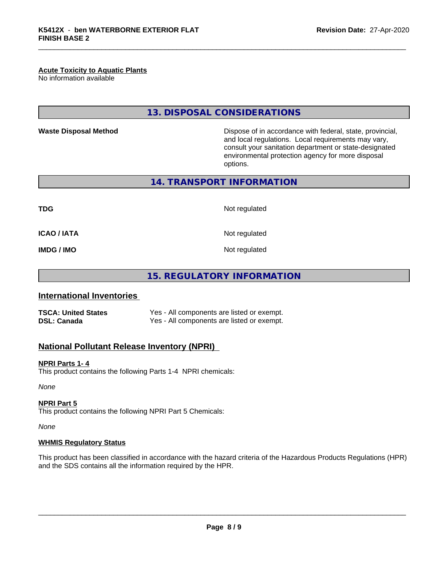### **Acute Toxicity to Aquatic Plants**

No information available

## **13. DISPOSAL CONSIDERATIONS**

**Waste Disposal Method Dispose of in accordance with federal, state, provincial,** and local regulations. Local requirements may vary, consult your sanitation department or state-designated environmental protection agency for more disposal options.

**14. TRANSPORT INFORMATION**

**TDG** Not regulated

**ICAO / IATA** Not regulated

**IMDG / IMO** Not regulated

**15. REGULATORY INFORMATION**

### **International Inventories**

**TSCA: United States** Yes - All components are listed or exempt. **DSL: Canada** Yes - All components are listed or exempt.

### **National Pollutant Release Inventory (NPRI)**

#### **NPRI Parts 1- 4**

This product contains the following Parts 1-4 NPRI chemicals:

*None*

### **NPRI Part 5**

This product contains the following NPRI Part 5 Chemicals:

*None*

### **WHMIS Regulatory Status**

This product has been classified in accordance with the hazard criteria of the Hazardous Products Regulations (HPR) and the SDS contains all the information required by the HPR.